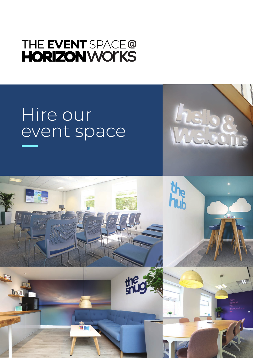# THE EVENT SPACE@ **HORIZONWOTKS**

# Hire our event space



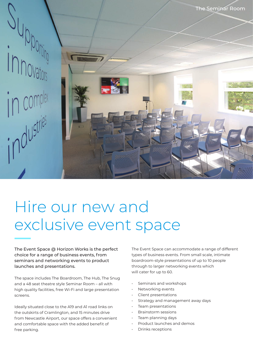

# Hire our new and exclusive event space

The Event Space @ Horizon Works is the perfect choice for a range of business events, from seminars and networking events to product launches and presentations.

The space includes The Boardroom, The Hub, The Snug and a 48 seat theatre style Seminar Room – all with high quality facilities, free Wi-Fi and large presentation screens.

Ideally situated close to the A19 and A1 road links on the outskirts of Cramlington, and 15 minutes drive from Newcastle Airport, our space offers a convenient and comfortable space with the added benefit of free parking.

The Event Space can accommodate a range of different types of business events. From small scale, intimate boardroom-style presentations of up to 10 people through to larger networking events which will cater for up to 60.

- Seminars and workshops
- Networking events
- Client presentations
- Strategy and management away days
- Team presentations
- Brainstorm sessions
- Team planning days
- Product launches and demos
- Drinks receptions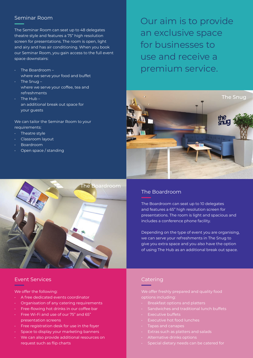### Seminar Room

The Seminar Room can seat up to 48 delegates theatre style and features a 75" high resolution screen for presentations. The room is open, light and airy and has air conditioning. When you book our Seminar Room, you gain access to the full event space downstairs:

- The Boardroom where we serve your food and buffet
- The Snug where we serve your coffee, tea and refreshments
- The Hub an additional break out space for your guests

We can tailor the Seminar Room to your requirements:

- Theatre style
- Classroom layout
- Boardroom
- Open space / standing



### Event Services

We offer the following:

- A free dedicated events coordinator
- Organisation of any catering requirements
- Free-flowing hot drinks in our coffee bar
- Free Wi-Fi and use of our 75" and 65" presentation screens
- Free registration desk for use in the foyer
- Space to display your marketing banners
- We can also provide additional resources on request such as flip charts

Our aim is to provide an exclusive space for businesses to use and receive a premium service.



# The Boardroom

The Boardroom can seat up to 10 delegates and features a 65" high resolution screen for presentations. The room is light and spacious and includes a conference phone facility.

Depending on the type of event you are organising, we can serve your refreshments in The Snug to give you extra space and you also have the option of using The Hub as an additional break out space.

## Catering

We offer freshly prepared and quality food options including:

- Breakfast options and platters
- 
- **Executive buffets**
- **Executive hot food lunches**
- Tapas and canapes
- Extras such as platters and salads
- Alternative drinks options
- Special dietary needs can be catered for